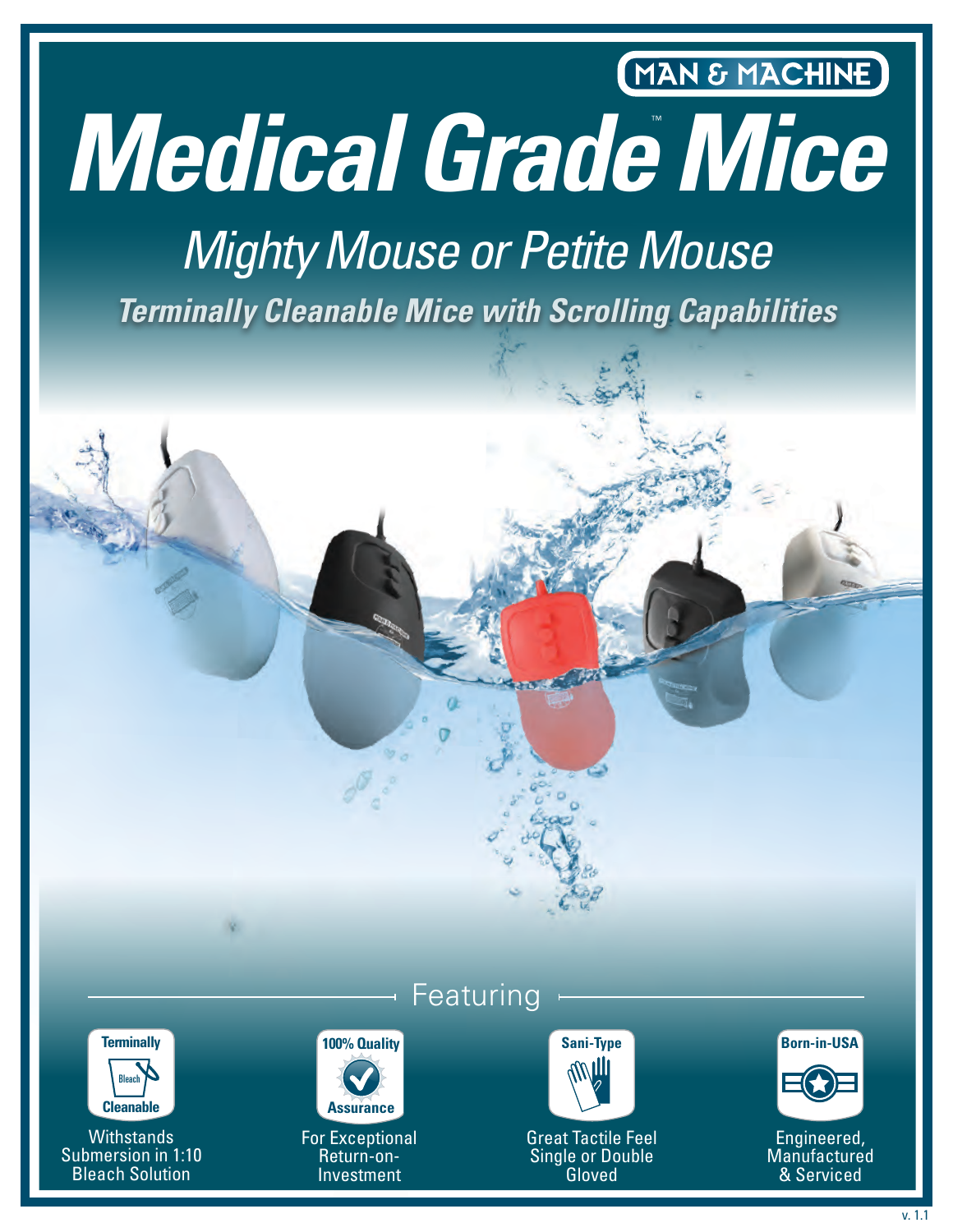# MAN & MACHINE *Medical Grade Mice* ™

# *Terminally Cleanable Mice with Scrolling Capabilities Mighty Mouse or Petite Mouse*



**Withstands** Submersion in 1:10 Bleach Solution

### Featuring



For Exceptional Return-on-Investment



Great Tactile Feel Single or Double Gloved





Engineered, **Manufactured** & Serviced